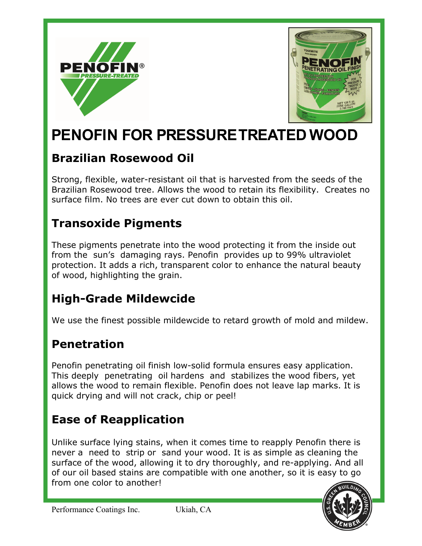



# **PENOFIN FOR PRESSURE TREATED WOOD**

# **Brazilian Rosewood Oil**

Strong, flexible, water-resistant oil that is harvested from the seeds of the Brazilian Rosewood tree. Allows the wood to retain its flexibility. Creates no surface film. No trees are ever cut down to obtain this oil.

# **Transoxide Pigments**

These pigments penetrate into the wood protecting it from the inside out from the sun's damaging rays. Penofin provides up to 99% ultraviolet protection. It adds a rich, transparent color to enhance the natural beauty of wood, highlighting the grain.

# **High-Grade Mildewcide**

We use the finest possible mildewcide to retard growth of mold and mildew.

# **Penetration**

Penofin penetrating oil finish low-solid formula ensures easy application. This deeply penetrating oil hardens and stabilizes the wood fibers, yet allows the wood to remain flexible. Penofin does not leave lap marks. It is quick drying and will not crack, chip or peel!

# **Ease of Reapplication**

Unlike surface lying stains, when it comes time to reapply Penofin there is never a need to strip or sand your wood. It is as simple as cleaning the surface of the wood, allowing it to dry thoroughly, and re-applying. And all of our oil based stains are compatible with one another, so it is easy to go from one color to another!